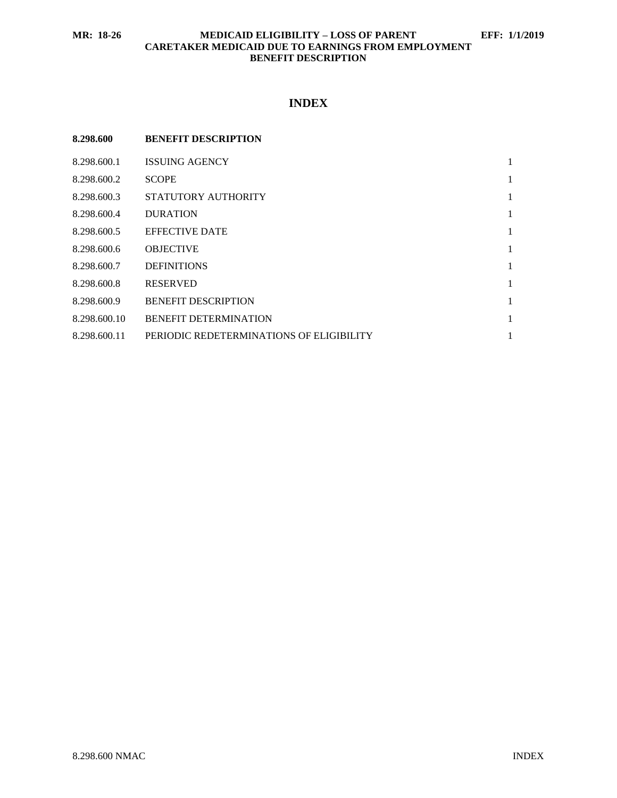### **MR: 18-26 MEDICAID ELIGIBILITY – LOSS OF PARENT EFF: 1/1/2019 CARETAKER MEDICAID DUE TO EARNINGS FROM EMPLOYMENT BENEFIT DESCRIPTION**

# **INDEX**

| 8.298.600    | <b>BENEFIT DESCRIPTION</b>               |              |
|--------------|------------------------------------------|--------------|
| 8.298.600.1  | <b>ISSUING AGENCY</b>                    | 1            |
| 8.298.600.2  | <b>SCOPE</b>                             | 1            |
| 8.298.600.3  | STATUTORY AUTHORITY                      | 1            |
| 8.298.600.4  | <b>DURATION</b>                          | $\mathbf{1}$ |
| 8.298.600.5  | <b>EFFECTIVE DATE</b>                    | 1            |
| 8.298.600.6  | <b>OBJECTIVE</b>                         | 1            |
| 8.298.600.7  | <b>DEFINITIONS</b>                       | 1            |
| 8.298.600.8  | <b>RESERVED</b>                          | 1            |
| 8.298.600.9  | <b>BENEFIT DESCRIPTION</b>               | 1            |
| 8.298.600.10 | <b>BENEFIT DETERMINATION</b>             | 1            |
| 8.298.600.11 | PERIODIC REDETERMINATIONS OF ELIGIBILITY | 1            |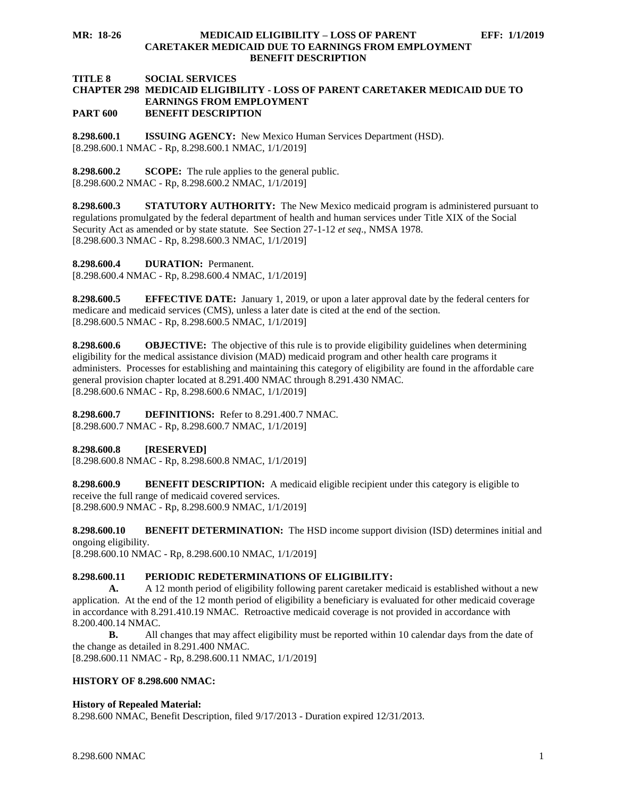**MR: 18-26 MEDICAID ELIGIBILITY – LOSS OF PARENT EFF: 1/1/2019 CARETAKER MEDICAID DUE TO EARNINGS FROM EMPLOYMENT BENEFIT DESCRIPTION**

#### **TITLE 8 SOCIAL SERVICES CHAPTER 298 MEDICAID ELIGIBILITY - LOSS OF PARENT CARETAKER MEDICAID DUE TO EARNINGS FROM EMPLOYMENT PART 600 BENEFIT DESCRIPTION**

<span id="page-1-0"></span>**8.298.600.1 ISSUING AGENCY:** New Mexico Human Services Department (HSD). [8.298.600.1 NMAC - Rp, 8.298.600.1 NMAC, 1/1/2019]

<span id="page-1-1"></span>**8.298.600.2 SCOPE:** The rule applies to the general public. [8.298.600.2 NMAC - Rp, 8.298.600.2 NMAC, 1/1/2019]

<span id="page-1-2"></span>**8.298.600.3 STATUTORY AUTHORITY:** The New Mexico medicaid program is administered pursuant to regulations promulgated by the federal department of health and human services under Title XIX of the Social Security Act as amended or by state statute. See Section 27-1-12 *et seq*., NMSA 1978. [8.298.600.3 NMAC - Rp, 8.298.600.3 NMAC, 1/1/2019]

<span id="page-1-3"></span>**8.298.600.4 DURATION:** Permanent.

[8.298.600.4 NMAC - Rp, 8.298.600.4 NMAC, 1/1/2019]

<span id="page-1-4"></span>**8.298.600.5 EFFECTIVE DATE:** January 1, 2019, or upon a later approval date by the federal centers for medicare and medicaid services (CMS), unless a later date is cited at the end of the section. [8.298.600.5 NMAC - Rp, 8.298.600.5 NMAC, 1/1/2019]

<span id="page-1-5"></span>**8.298.600.6 OBJECTIVE:** The objective of this rule is to provide eligibility guidelines when determining eligibility for the medical assistance division (MAD) medicaid program and other health care programs it administers. Processes for establishing and maintaining this category of eligibility are found in the affordable care general provision chapter located at 8.291.400 NMAC through 8.291.430 NMAC. [8.298.600.6 NMAC - Rp, 8.298.600.6 NMAC, 1/1/2019]

<span id="page-1-6"></span>**8.298.600.7 DEFINITIONS:** Refer to 8.291.400.7 NMAC. [8.298.600.7 NMAC - Rp, 8.298.600.7 NMAC, 1/1/2019]

<span id="page-1-7"></span>**8.298.600.8 [RESERVED]**

[8.298.600.8 NMAC - Rp, 8.298.600.8 NMAC, 1/1/2019]

<span id="page-1-8"></span>**8.298.600.9 BENEFIT DESCRIPTION:** A medicaid eligible recipient under this category is eligible to receive the full range of medicaid covered services. [8.298.600.9 NMAC - Rp, 8.298.600.9 NMAC, 1/1/2019]

<span id="page-1-9"></span>**8.298.600.10 BENEFIT DETERMINATION:** The HSD income support division (ISD) determines initial and ongoing eligibility.

[8.298.600.10 NMAC - Rp, 8.298.600.10 NMAC, 1/1/2019]

## <span id="page-1-10"></span>**8.298.600.11 PERIODIC REDETERMINATIONS OF ELIGIBILITY:**

**A.** A 12 month period of eligibility following parent caretaker medicaid is established without a new application. At the end of the 12 month period of eligibility a beneficiary is evaluated for other medicaid coverage in accordance with 8.291.410.19 NMAC. Retroactive medicaid coverage is not provided in accordance with 8.200.400.14 NMAC.

**B.** All changes that may affect eligibility must be reported within 10 calendar days from the date of the change as detailed in 8.291.400 NMAC.

[8.298.600.11 NMAC - Rp, 8.298.600.11 NMAC, 1/1/2019]

## **HISTORY OF 8.298.600 NMAC:**

## **History of Repealed Material:**

8.298.600 NMAC, Benefit Description, filed 9/17/2013 - Duration expired 12/31/2013.